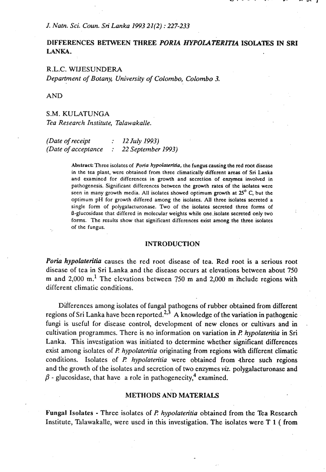# **DIFFERENCES BETWEEN THREE PORIA HYPOLATERITIA ISOLATES IN SRI LANKA.**

## R.L.C. WIJESUNDERA

*Department of Botany, University of Colombo, Colombo 3.* 

AND

S.M. KULATUNGA *Tea Research Institute, Talawakalle.* 

*(Date of receipt* : *12 July 1993) (Date of acceptance* : *22 September 1993)* 

> Abstract: Three isolates of *Poria hypolateritia*, the fungus causing the red root disease in the tea plant, were obtained from three climatically different areas of Sri Lanka and examined for differences in growth and secretion of enzymes involved in pathogenesis. Significant differences between the growth rates of the isolates were seen in many growth media. All isolates showed optimum growth at **25'** C, but the optimum pH for growth differed among the isolates. All three isolates secreted a single form of polygalacturonase. Two of the isolates secreted three forms of B-glucosidase that differed in molecular weights while one.isolate secreted only two forms. The results show that significant differences exist among the three isolates of the fungus.

#### **INTRODUCTION**

*Poria* hypolateritia causes the red root disease of tea. Red root is a serious root disease of tea in Sri Lanka and the disease occurs at elevations between about 750. m and 2,000 m.' The elevations between **750** m and 2,000 m ihclude regions with different climatic conditions.

Differences among isolates of fungal pathogens of rubber obtained from different regions of Sri Lanka have been reported.<sup>2,3</sup> A knowledge of the variation in pathogenic fungi is useful for disease control, development of new clones or cultivars and in cultivation programmes. There is no information on variation in *R hypolateritia* in Sri Lanka. This investigation was initiated to determine whether significant differences exist among isolates of *P. hypolateritia* originating from regions with different climatic conditions. Isolates of *P. hypolateritia* were obtained from three such regions and the growth of the isolates and secretion of two enzymes **viz.** polygalacturonase and  $\beta$  - glucosidase, that have a role in pathogenecity,<sup>4</sup> examined.

### **METHODS AND MATERIALS**

Fungal Isolates - Three isolates of *R hypolateriria* obtained from the Tea Research Institute, Talawakalle, were used in this investigation. The isolates were T 1 ( from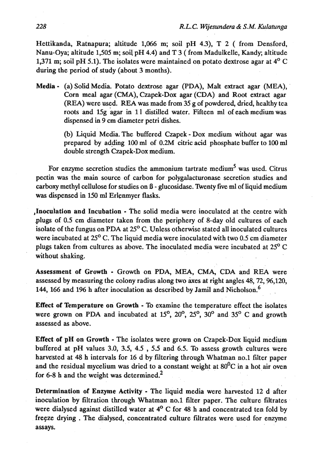Hettikanda, Ratnapura; altitude 1,066 m; soil pH 4.3), T 2 ( from Densford, Nanu-Oya; altitude 1,505 m; soil pH 4.4) and T 3 ( from Madulkelle, Kandy, altitude 1,371 m; soil pH 5.1). The isolates were maintained on potato dextrose agar at  $4^{\circ}$  C during the period of study (about 3 months).

Media - (a) Solid Media. Potato dextrose agar (PDA), Malt extract agar (MEA), Corn meal agar (CMA), Czapek-Dox agar (CDA) and Root extract agar (REA) were used. **REA** was made from 35 g of powdered, dried, healthy tea roots and 15g agar in 1 1 distilled water. Fifteen **ml** of each medium was dispensed in 9 cm diameter petri dishes.

> (b) Liquid Media. The buffered Czapek - Dox medium without agar was prepared by adding 100 **ml** of 0.2M citric acid phosphate buffer to 100 **ml**  double strength Czapek-Dox medium.

For enzyme secretion studies the ammonium tartrate medium<sup>5</sup> was used. Citrus pectin was the main source of carbon for polygalacturonase secretion studies and carboxy methyl cellulose for studies on  $\beta$  - glucosidase. Twenty five ml of liquid medium was dispensed in 150 **ml** Erlenmyer flasks.

Inoculation and Incubation - The solid media were inoculated at the centre with plugs of 0.5 cm diameter taken from the periphery of 8-day old cultures of each isolate of the fungus on PDA at  $25^{\circ}$  C. Unless otherwise stated all inoculated cultures were incubated at 25<sup>o</sup> C. The liquid media were inoculated with two 0.5 cm diameter plugs taken from cultures as above. The inoculated media were incubated at 25' C without shaking.

Assessment of Growth - Growth on PDA, MEA, CMA, CDA and REA were assessed by measuring the colony radius along two axes at right angles  $48, 72, 96, 120$ , 144, 166 and 196 h after inoculation as described by Jamil and Nicholson. $<sup>6</sup>$ </sup>

Effect of Temperature on Growth - To examine the temperature effect the isolates were grown on PDA and incubated at  $15^{\circ}$ ,  $20^{\circ}$ ,  $25^{\circ}$ ,  $30^{\circ}$  and  $35^{\circ}$  C and growth assessed as above.

Effect of pH on Growth - The isolates were grown on Czapek-Dox liquid medium buffered at pH values 3.0, 3.5, 4.5 , 5.5 and 6.5. To assess growth cultures were harvested at 48 h intervals for 16 d by filtering through Whatman no.1 filter paper and the residual mycelium was dried to a constant weight at  $80^{\circ}$ C in a hot air oven for 6-8 h and the weight was determined.<sup>2</sup>

Determination of Enzyme Activity - The liquid media were harvested 12 d after inoculation by filtration through Whatman no.1 filter paper. The culture filtrates were dialysed against distilled water at  $4^{\circ}$  C for 48 h and concentrated ten fold by freeze drying . The dialysed, concentrated culture filtrates were used for enzyme assays.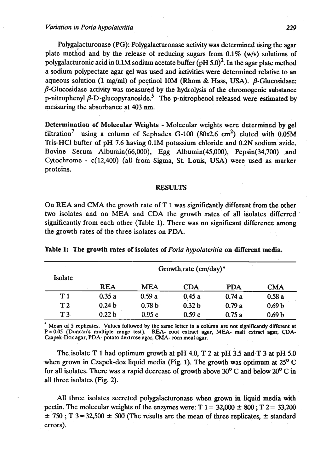Polygalacturonase (PG): Polygalacturonase activity was determined using the agar plate method and by the release of reducing sugars from  $0.1\%$  (w/v) solutions of polygalacturonic acid in 0.1M sodium acetate buffer (pH  $5.0$ )<sup>2</sup>. In the agar plate method a sodium polypectate agar gel was used and activities were determined relative to an aqueous solution (1 mg/ml) of pectinol 10M (Rhom & Hass, USA). *B*-Glucosidase:  $\beta$ -Glucosidase activity was measured by the hydrolysis of the chromogenic substance p-nitrophenyl  $\beta$ -D-glucopyranoside.<sup>5</sup> The p-nitrophenol released were estimated by measuring the absorbance at **403 nm.** 

Determination of Molecular Weights - Molecular weights were determined by gel filtration<sup>7</sup> using a column of Sephadex G-100 (80x2.6 cm<sup>2</sup>) eluted with 0.05M Tris-HC1 buffer of pH 7.6 having 0.1M potassium chloride and 0.2N sodium azide. Bovine Serum Alburnin(66,000), Egg Albumin(45,000), Pepsin(34,700) and Cytochrome  $- c(12,400)$  (all from Sigma, St. Louis, USA) were used as marker proteins.

#### **RESULTS**

On REA and CMA the growth rate of T 1 was significantly different from the other two isolates and on MEA and CDA the growth rates of all isolates differred significantly from each other (Table 1). There was no significant difference among the growth rates of the three isolates on PDA.

| Isolate        | Growth.rate (cm/day)* |                   |                   |            |                   |
|----------------|-----------------------|-------------------|-------------------|------------|-------------------|
|                | <b>REA</b>            | <b>MEA</b>        | <b>CDA</b>        | <b>PDA</b> | <b>CMA</b>        |
| T1             | 0.35a                 | 0.59a             | 0.45a             | 0.74a      | 0.58a             |
| T <sub>2</sub> | 0.24 <sub>b</sub>     | 0.78 <sub>b</sub> | 0.32 <sub>b</sub> | 0.79a      | 0.69 <sub>b</sub> |
| T3             | 0.22 <sub>b</sub>     | 0.95c             | 0.59c             | 0.75a      | 0.69 <sub>b</sub> |

Table 1: The growth rates of isolates of *Poria hypolateritia* on different media.

**Mean of 5 replicates. Values followed by the same letter in a column arc not significantly** different **at P=0.05 (Duncan's multiple range test). REA- root extract agar, MEA- malt extract agar, CDA-** , **Czapek-Dox agar, PDA- potato dextrose agar, CMA- corn meal agar.** 

The isolate T 1 had optimum growth at pH 4.0, T 2 at pH 3.5 and T 3 at pH 5.0 when grown in Czapek-dox liquid media (Fig. 1). The growth was optimum at **25"** C for all isolates. There **was** a rapid decrease of growth above **30°** C and below **20"** C in all three isolates (Fig. 2).

All three isolates secreted polygalacturonase when grown in liquid media with pectin. The molecular weights of the enzymes were:  $T = 1 = 32,000 \pm 800$ ;  $T = 2 = 33,200$  $\pm$  750; T 3 = 32,500  $\pm$  500 (The results are the mean of three replicates,  $\pm$  standard errors).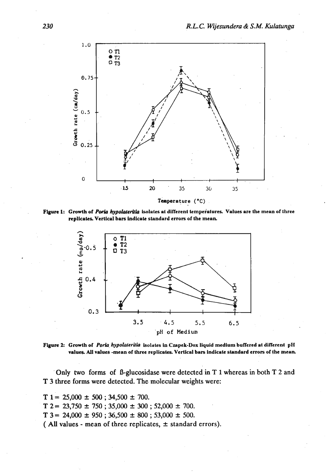

**Figure 1: Growlh of Porh** *hypo&terU&* **isolates at diflerenl ltmpeklum Values are the mean of three**  replicates. Vertical bars indicate standard errors of the mean.





' Only two forms of l3-glucosidase were detected in T 1 whereas in both T 2 and T 3 three forms were detected. The molecular weights were:

 $T = 25,000 \pm 500$ ; 34,500  $\pm$  700.  $T$  2 = 23,750  $\pm$  750 ; 35,000  $\pm$  300 ; 52,000  $\pm$  700.  $T$  3 = 24,000  $\pm$  950; 36,500  $\pm$  800; 53,000  $\pm$  500. ( All values - mean of three replicates,  $\pm$  standard errors).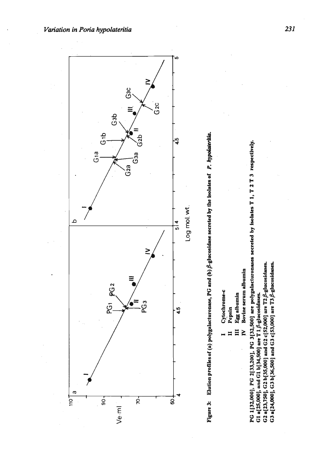Figure 3: Elution profiles of (a) polygalacturonase, PG and (b)  $\beta$ -glucosidase secreted by the isolates of P. hypodateritia.

- Cytochrome-c
	- Pepsin 4
- Egg albumin  $\Xi$
- Bovine serum albumin  $\geq$

PG 1[32,000], PG 2[33,200], PG 3[32,500] are polygalacturonases secreted by isolates T 1, T 2 T 3 respectively. G2 a[23,750], G2 b[35,000] and G2 c[52,000] are T2  $\beta$ -glucosidases. G3 a[24,000], G3 b[36,500] and G3 c[53,000] are T3  $\beta$ -glucosidases. G1 a[25,000], and G1 b[34,500] are T 1 $\beta$ -glucosidases.



*Variation in Poria hypolateritia*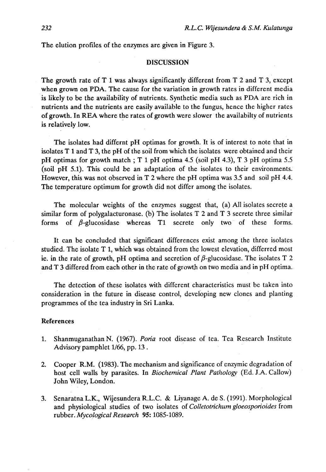The elution profiles of the enzymes are given in Figure 3.

# **DISCUSSION**

The growth rate of  $T_1$  was always significantly different from  $T_2$  and  $T_3$ , except when grown on PDA. The cause for the variation in growth rates in different media is likely to be the availability of nutrients. Synthetic media such as PDA are rich in nutrients and the nutrients are easily available to the fungus, hence the-higher rates of growth. In REA where the rates of growth were slower the availabilty of nutrients is relatively low.

The isolates had differnt pH optimas for growth. It is of interest to note that in isolates  $T_1$  and  $T_2$ , the pH of the soil from which the isolates were obtained and their pH optimas for growth match ; T 1 pH optima 4.5 (soil pH 4.3), T 3 pH optima 5.5 (soil pH 5.1). This could be an adaptation of the isolates to their environments. However, this was not observed in T 2 where the pH optima was 3.5 and soil pH 4.4. The temperature optimum for growth did not differ among the isolates.

The molecular weights of the enzymes suggest that, (a) All isolates secrete a similar form of polygalacturonase. (b) The isolates T 2 and T 3 secrete three similar forms of  $\beta$ -glucosidase whereas T1 secrete only two of these forms.

It can be concluded that significant differences exist among the three isolates studied. The isolate T 1, which was obtained from the lowest elevation, differred most ie. in the rate of growth, pH optima and secretion of  $\beta$ -glucosidase. The isolates T 2 and T 3 differed from each other in the rate of growth on two media and in pH optima.

The detection of these isolates with different characteristics must be taken into consideration in the future in disease control, developing new clones and planting programmes of the tea industry in Sri Lanka.

#### References

- 1. ShanmuganathanN. (1967). *Poria* root disease of tea. Tea Research Institute Advisory pamphlet 1/66, pp. 13 .
- **2.** Cooper R.M. (1983). The mechanism and significance of enzymic degradation of host cell walls by parasites. In *Biochemical Plant Pathology* (Ed. J.A. Callow) John Wiley, London.
- **3.** Senaratna L.K., Wijesundera R.L.C. & Liyanage A. de S. (1991). Morphological and physiological studies of two isolates of *Colletotrichum gloeosporioides* from rubber. *Mycological Research* 95: 1085-1089.